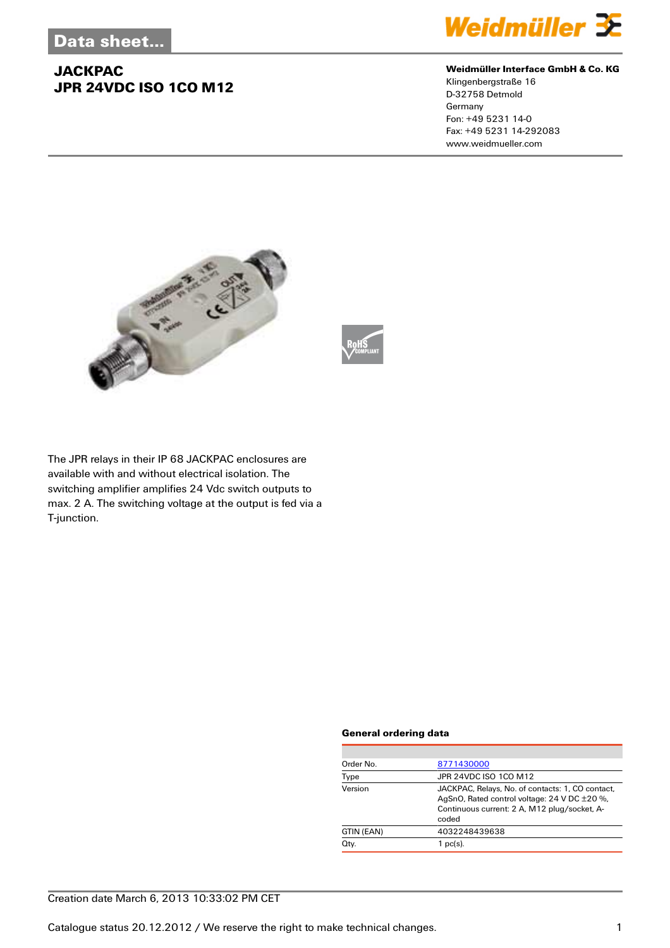

#### **Weidmüller Interface GmbH & Co. KG**

Klingenbergstraße 16 D-32758 Detmold Germany Fon: +49 5231 14-0 Fax: +49 5231 14-292083 www.weidmueller.com





The JPR relays in their IP 68 JACKPAC enclosures are available with and without electrical isolation. The switching amplifier amplifies 24 Vdc switch outputs to max. 2 A. The switching voltage at the output is fed via a T-junction.

#### **General ordering data**

| Order No.  | 8771430000                                                                                                                                                |  |  |
|------------|-----------------------------------------------------------------------------------------------------------------------------------------------------------|--|--|
| Type       | JPR 24VDC ISO 1CO M12                                                                                                                                     |  |  |
| Version    | JACKPAC, Relays, No. of contacts: 1, CO contact,<br>AgSnO, Rated control voltage: 24 V DC ±20 %,<br>Continuous current: 2 A, M12 plug/socket, A-<br>coded |  |  |
| GTIN (EAN) | 4032248439638                                                                                                                                             |  |  |
| Qty.       | $1$ pc(s).                                                                                                                                                |  |  |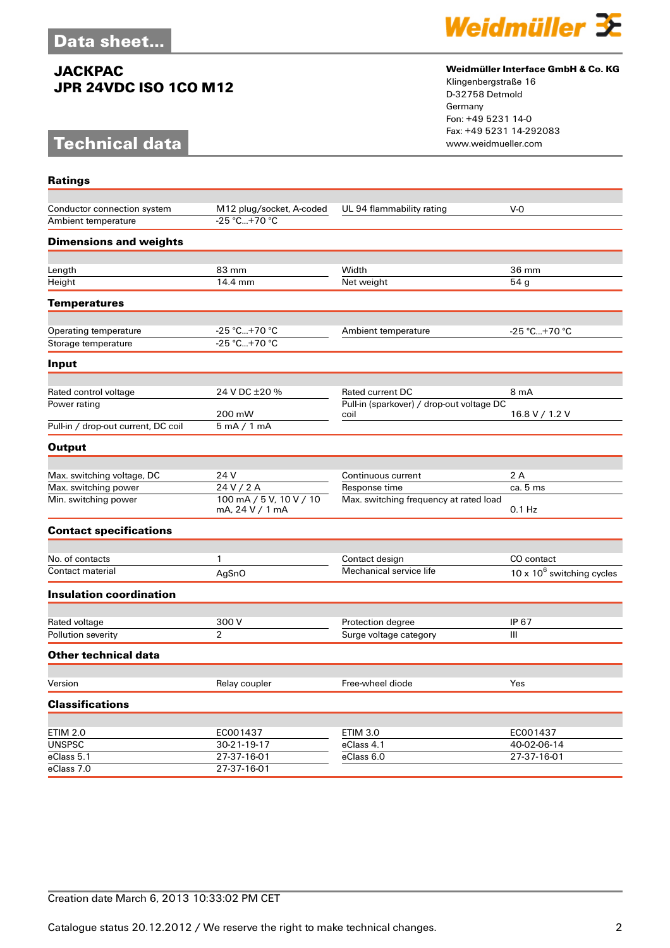# **Technical data**

**Ratings**



#### **Weidmüller Interface GmbH & Co. KG**

Klingenbergstraße 16 D-32758 Detmold Germany Fon: +49 5231 14-0 Fax: +49 5231 14-292083

| Conductor connection system         | M12 plug/socket, A-coded                   | UL 94 flammability rating                 | $V-0$                        |
|-------------------------------------|--------------------------------------------|-------------------------------------------|------------------------------|
| Ambient temperature                 | -25 °C+70 °C                               |                                           |                              |
| <b>Dimensions and weights</b>       |                                            |                                           |                              |
|                                     |                                            |                                           |                              |
| Length                              | 83 mm                                      | Width                                     | 36 mm                        |
| Height                              | 14.4 mm                                    | Net weight                                | 54 g                         |
| Temperatures                        |                                            |                                           |                              |
|                                     |                                            |                                           |                              |
| Operating temperature               | $-25 °C+70 °C$<br>$-25 °C+70 °C$           | Ambient temperature                       | -25 °C+70 °C                 |
| Storage temperature                 |                                            |                                           |                              |
| Input                               |                                            |                                           |                              |
| Rated control voltage               | 24 V DC ±20 %                              | <b>Rated current DC</b>                   | 8 mA                         |
| Power rating                        |                                            | Pull-in (sparkover) / drop-out voltage DC |                              |
|                                     | 200 mW                                     | coil                                      | 16.8 V / 1.2 V               |
| Pull-in / drop-out current, DC coil | $5 \text{ mA} / 1 \text{ mA}$              |                                           |                              |
| Output                              |                                            |                                           |                              |
|                                     |                                            |                                           |                              |
| Max. switching voltage, DC          | 24 V                                       | Continuous current                        | 2A                           |
| Max. switching power                | 24 V / 2 A                                 | Response time                             | ca. 5 ms                     |
| Min. switching power                | 100 mA / 5 V, 10 V / 10<br>mA, 24 V / 1 mA | Max. switching frequency at rated load    | $0.1$ Hz                     |
| <b>Contact specifications</b>       |                                            |                                           |                              |
|                                     |                                            |                                           |                              |
| No. of contacts                     | 1                                          | Contact design                            | CO contact                   |
| Contact material                    | AgSnO                                      | Mechanical service life                   | 10 x $10^6$ switching cycles |
| <b>Insulation coordination</b>      |                                            |                                           |                              |
|                                     |                                            |                                           |                              |
| Rated voltage                       | 300 V                                      | Protection degree                         | IP 67                        |
| Pollution severity                  | $\overline{2}$                             | Surge voltage category                    | Ш                            |
| Other technical data                |                                            |                                           |                              |
|                                     |                                            |                                           |                              |
| Version                             | Relay coupler                              | Free-wheel diode                          | Yes                          |
| <b>Classifications</b>              |                                            |                                           |                              |
|                                     |                                            |                                           |                              |
| <b>ETIM 2.0</b>                     | EC001437                                   | <b>ETIM 3.0</b>                           | EC001437                     |
| <b>UNSPSC</b>                       | 30-21-19-17                                | eClass 4.1                                | 40-02-06-14                  |
| eClass 5.1                          | 27-37-16-01                                | eClass 6.0                                | 27-37-16-01                  |
| eClass 7.0                          | 27-37-16-01                                |                                           |                              |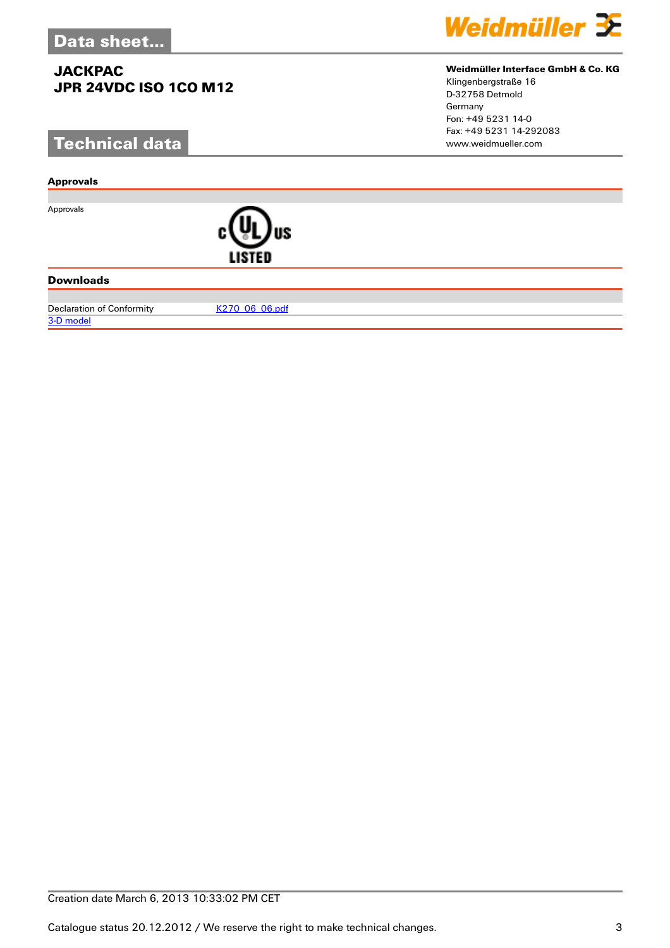# **Technical data**

#### **Approvals**

Approvals



#### **Downloads**

Declaration of Conformity [K270\\_06\\_06.pdf](http://catalog.weidmueller.com/assets/PDF/K270_06_06.pdf)





#### **Weidmüller Interface GmbH & Co. KG**

Klingenbergstraße 16 D-32758 Detmold Germany Fon: +49 5231 14-0 Fax: +49 5231 14-292083